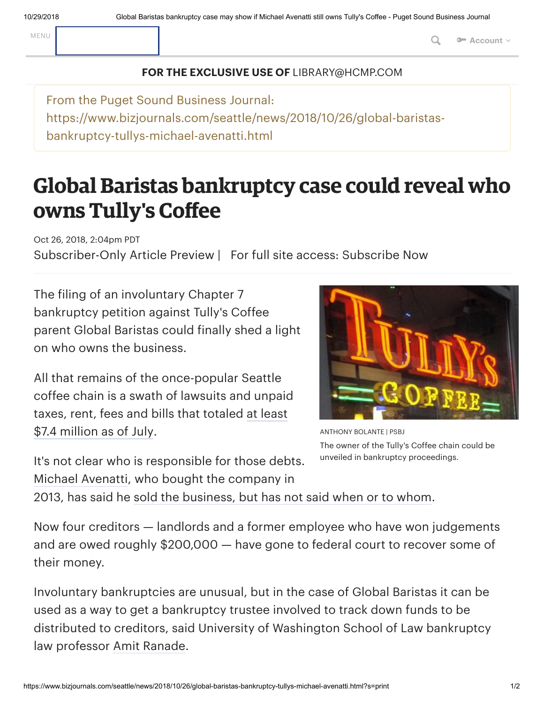MENU **Q** or **Account**  $\vee$ 

## **FOR THE EXCLUSIVE USE OF** LIBRARY@HCMP.COM

From the Puget Sound Business Journal: https://www.bizjournals.com/seattle/news/2018/10/26/global-baristasbankruptcy-tullys-michael-avenatti.html

## **Global Baristas bankruptcy case could reveal who owns Tully's Coffee**

Oct 26, 2018, 2:04pm PDT Subscriber-Only Article Preview | For full site access: [Subscribe](https://secure.bizjournals.com/subscribe/selectTerm?market=seattle&csrc=6320&iana=cspat) Now

The filing of an involuntary Chapter 7 bankruptcy petition against Tully's Coffee parent Global Baristas could finally shed a light on who owns the business.

All that remains of the once-popular Seattle coffee chain is a swath of lawsuits and unpaid taxes, rent, fees and bills that [totaled](https://www.bizjournals.com/seattle/news/2018/06/13/tullys-coffee-unlikely-to-reopen-michael-avenatti.html) at least \$7.4 million as of July.

It's not clear who is responsible for those debts. Michael [Avenatti,](https://www.bizjournals.com/seattle/search/results?q=Michael%20Avenatti) who bought the company in



ANTHONY BOLANTE | PSBJ The owner of the Tully's Coffee chain could be unveiled in bankruptcy proceedings.

2013, has said he sold the [business,](https://www.bizjournals.com/seattle/news/2018/06/20/michael-avenatti-global-baristas-tullys-cafes-suit.html) but has not said when or to whom.

Now four creditors — landlords and a former employee who have won judgements and are owed roughly \$200,000 — have gone to federal court to recover some of their money.

Involuntary bankruptcies are unusual, but in the case of Global Baristas it can be used as a way to get a bankruptcy trustee involved to track down funds to be distributed to creditors, said University of Washington School of Law bankruptcy law professor Amit [Ranade.](https://www.bizjournals.com/seattle/search/results?q=Amit%20Ranade)